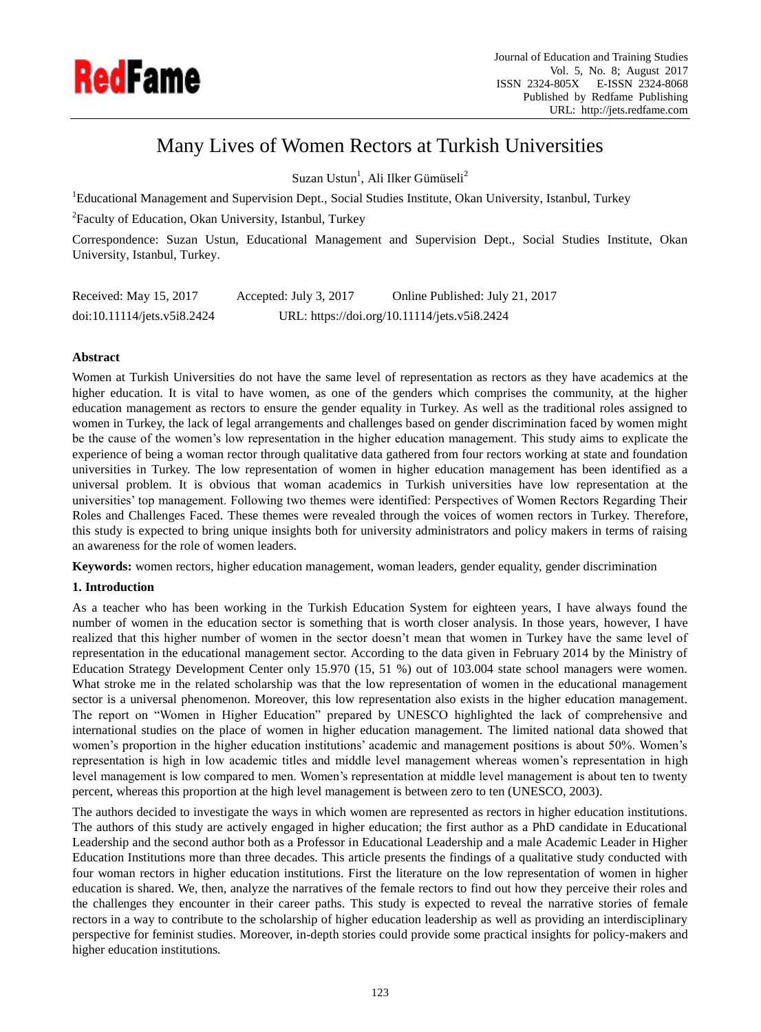

# Many Lives of Women Rectors at Turkish Universities

Suzan Ustun<sup>1</sup>, Ali Ilker Gümüseli<sup>2</sup>

<sup>1</sup>Educational Management and Supervision Dept., Social Studies Institute, Okan University, Istanbul, Turkey

<sup>2</sup>Faculty of Education, Okan University, Istanbul, Turkey

Correspondence: Suzan Ustun, Educational Management and Supervision Dept., Social Studies Institute, Okan University, Istanbul, Turkey.

| Received: May 15, 2017      | Accepted: July 3, 2017                       | Online Published: July 21, 2017 |
|-----------------------------|----------------------------------------------|---------------------------------|
| doi:10.11114/jets.v5i8.2424 | URL: https://doi.org/10.11114/jets.v5i8.2424 |                                 |

# **Abstract**

Women at Turkish Universities do not have the same level of representation as rectors as they have academics at the higher education. It is vital to have women, as one of the genders which comprises the community, at the higher education management as rectors to ensure the gender equality in Turkey. As well as the traditional roles assigned to women in Turkey, the lack of legal arrangements and challenges based on gender discrimination faced by women might be the cause of the women's low representation in the higher education management. This study aims to explicate the experience of being a woman rector through qualitative data gathered from four rectors working at state and foundation universities in Turkey. The low representation of women in higher education management has been identified as a universal problem. It is obvious that woman academics in Turkish universities have low representation at the universities' top management. Following two themes were identified: Perspectives of Women Rectors Regarding Their Roles and Challenges Faced. These themes were revealed through the voices of women rectors in Turkey. Therefore, this study is expected to bring unique insights both for university administrators and policy makers in terms of raising an awareness for the role of women leaders.

**Keywords:** women rectors, higher education management, woman leaders, gender equality, gender discrimination

# **1. Introduction**

As a teacher who has been working in the Turkish Education System for eighteen years, I have always found the number of women in the education sector is something that is worth closer analysis. In those years, however, I have realized that this higher number of women in the sector doesn't mean that women in Turkey have the same level of representation in the educational management sector. According to the data given in February 2014 by the Ministry of Education Strategy Development Center only 15.970 (15, 51 %) out of 103.004 state school managers were women. What stroke me in the related scholarship was that the low representation of women in the educational management sector is a universal phenomenon. Moreover, this low representation also exists in the higher education management. The report on "Women in Higher Education" prepared by UNESCO highlighted the lack of comprehensive and international studies on the place of women in higher education management. The limited national data showed that women's proportion in the higher education institutions' academic and management positions is about 50%. Women's representation is high in low academic titles and middle level management whereas women's representation in high level management is low compared to men. Women's representation at middle level management is about ten to twenty percent, whereas this proportion at the high level management is between zero to ten (UNESCO, 2003).

The authors decided to investigate the ways in which women are represented as rectors in higher education institutions. The authors of this study are actively engaged in higher education; the first author as a PhD candidate in Educational Leadership and the second author both as a Professor in Educational Leadership and a male Academic Leader in Higher Education Institutions more than three decades. This article presents the findings of a qualitative study conducted with four woman rectors in higher education institutions. First the literature on the low representation of women in higher education is shared. We, then, analyze the narratives of the female rectors to find out how they perceive their roles and the challenges they encounter in their career paths. This study is expected to reveal the narrative stories of female rectors in a way to contribute to the scholarship of higher education leadership as well as providing an interdisciplinary perspective for feminist studies. Moreover, in-depth stories could provide some practical insights for policy-makers and higher education institutions*.*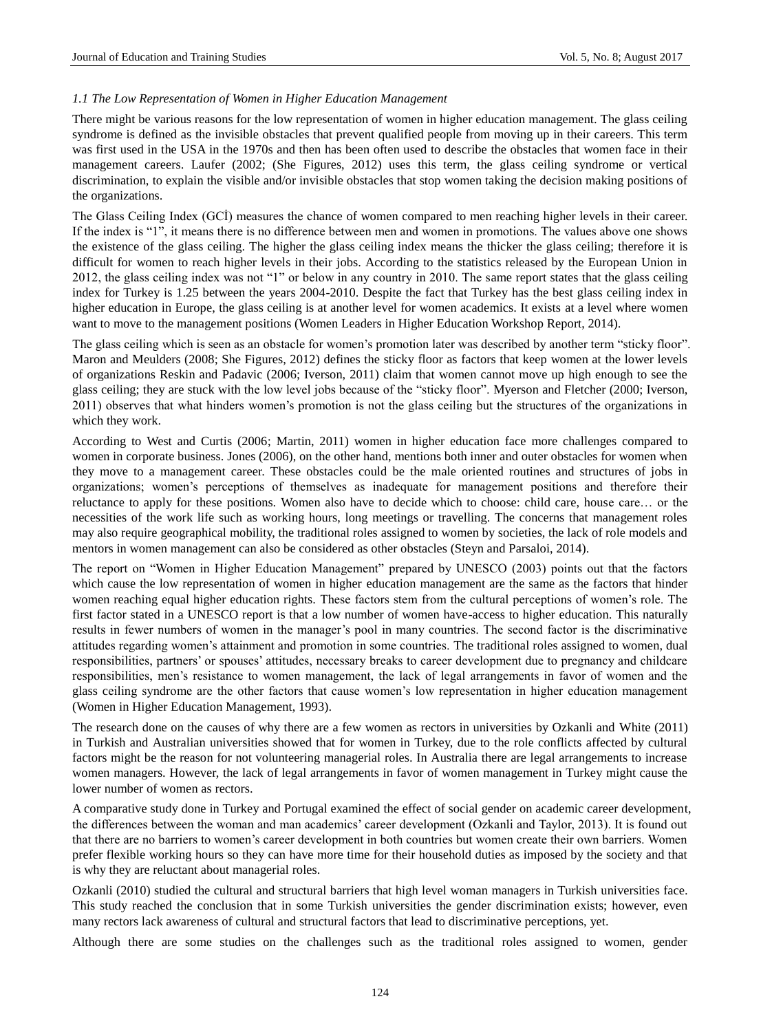### *1.1 The Low Representation of Women in Higher Education Management*

There might be various reasons for the low representation of women in higher education management. The glass ceiling syndrome is defined as the invisible obstacles that prevent qualified people from moving up in their careers. This term was first used in the USA in the 1970s and then has been often used to describe the obstacles that women face in their management careers. Laufer (2002; (She Figures, 2012) uses this term, the glass ceiling syndrome or vertical discrimination, to explain the visible and/or invisible obstacles that stop women taking the decision making positions of the organizations.

The Glass Ceiling Index (GCİ) measures the chance of women compared to men reaching higher levels in their career. If the index is "1", it means there is no difference between men and women in promotions. The values above one shows the existence of the glass ceiling. The higher the glass ceiling index means the thicker the glass ceiling; therefore it is difficult for women to reach higher levels in their jobs. According to the statistics released by the European Union in 2012, the glass ceiling index was not "1" or below in any country in 2010. The same report states that the glass ceiling index for Turkey is 1.25 between the years 2004-2010. Despite the fact that Turkey has the best glass ceiling index in higher education in Europe, the glass ceiling is at another level for women academics. It exists at a level where women want to move to the management positions (Women Leaders in Higher Education Workshop Report, 2014).

The glass ceiling which is seen as an obstacle for women's promotion later was described by another term "sticky floor". Maron and Meulders (2008; She Figures, 2012) defines the sticky floor as factors that keep women at the lower levels of organizations Reskin and Padavic (2006; Iverson, 2011) claim that women cannot move up high enough to see the glass ceiling; they are stuck with the low level jobs because of the "sticky floor". Myerson and Fletcher (2000; Iverson, 2011) observes that what hinders women's promotion is not the glass ceiling but the structures of the organizations in which they work.

According to West and Curtis (2006; Martin, 2011) women in higher education face more challenges compared to women in corporate business. Jones (2006), on the other hand, mentions both inner and outer obstacles for women when they move to a management career. These obstacles could be the male oriented routines and structures of jobs in organizations; women's perceptions of themselves as inadequate for management positions and therefore their reluctance to apply for these positions. Women also have to decide which to choose: child care, house care… or the necessities of the work life such as working hours, long meetings or travelling. The concerns that management roles may also require geographical mobility, the traditional roles assigned to women by societies, the lack of role models and mentors in women management can also be considered as other obstacles (Steyn and Parsaloi, 2014).

The report on "Women in Higher Education Management" prepared by UNESCO (2003) points out that the factors which cause the low representation of women in higher education management are the same as the factors that hinder women reaching equal higher education rights. These factors stem from the cultural perceptions of women's role. The first factor stated in a UNESCO report is that a low number of women have-access to higher education. This naturally results in fewer numbers of women in the manager's pool in many countries. The second factor is the discriminative attitudes regarding women's attainment and promotion in some countries. The traditional roles assigned to women, dual responsibilities, partners' or spouses' attitudes, necessary breaks to career development due to pregnancy and childcare responsibilities, men's resistance to women management, the lack of legal arrangements in favor of women and the glass ceiling syndrome are the other factors that cause women's low representation in higher education management (Women in Higher Education Management, 1993).

The research done on the causes of why there are a few women as rectors in universities by Ozkanli and White (2011) in Turkish and Australian universities showed that for women in Turkey, due to the role conflicts affected by cultural factors might be the reason for not volunteering managerial roles. In Australia there are legal arrangements to increase women managers. However, the lack of legal arrangements in favor of women management in Turkey might cause the lower number of women as rectors.

A comparative study done in Turkey and Portugal examined the effect of social gender on academic career development, the differences between the woman and man academics' career development (Ozkanli and Taylor, 2013). It is found out that there are no barriers to women's career development in both countries but women create their own barriers. Women prefer flexible working hours so they can have more time for their household duties as imposed by the society and that is why they are reluctant about managerial roles.

Ozkanli (2010) studied the cultural and structural barriers that high level woman managers in Turkish universities face. This study reached the conclusion that in some Turkish universities the gender discrimination exists; however, even many rectors lack awareness of cultural and structural factors that lead to discriminative perceptions, yet.

Although there are some studies on the challenges such as the traditional roles assigned to women, gender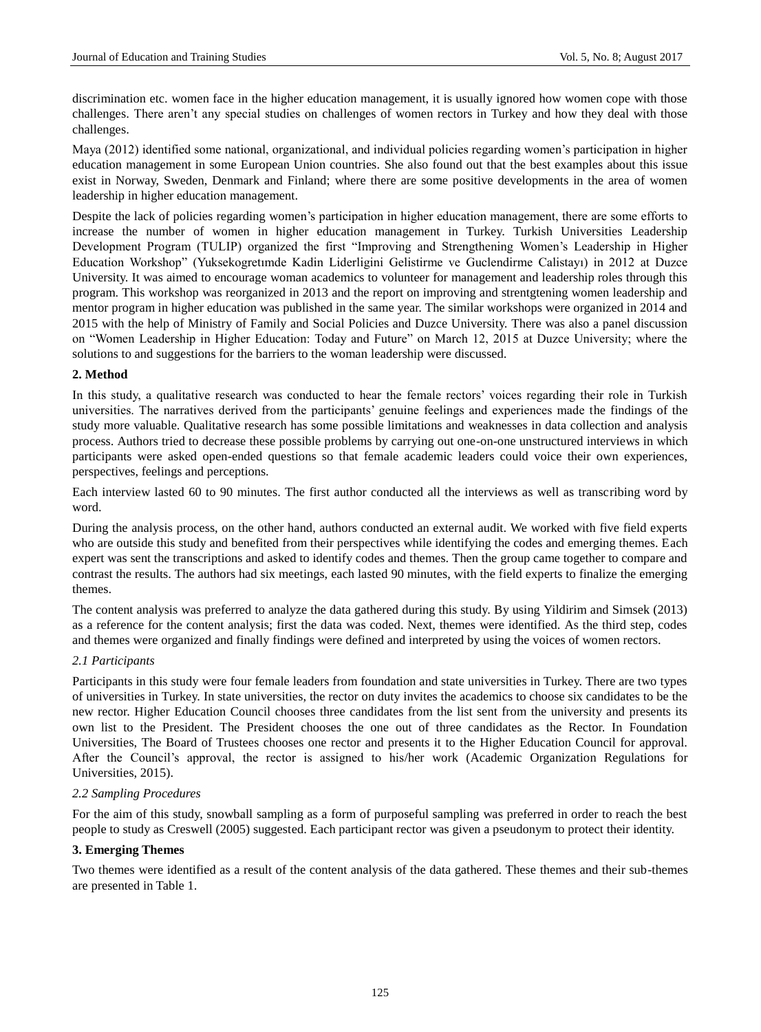discrimination etc. women face in the higher education management, it is usually ignored how women cope with those challenges. There aren't any special studies on challenges of women rectors in Turkey and how they deal with those challenges.

Maya (2012) identified some national, organizational, and individual policies regarding women's participation in higher education management in some European Union countries. She also found out that the best examples about this issue exist in Norway, Sweden, Denmark and Finland; where there are some positive developments in the area of women leadership in higher education management.

Despite the lack of policies regarding women's participation in higher education management, there are some efforts to increase the number of women in higher education management in Turkey. Turkish Universities Leadership Development Program (TULIP) organized the first "Improving and Strengthening Women's Leadership in Higher Education Workshop" (Yuksekogretımde Kadin Liderligini Gelistirme ve Guclendirme Calistayı) in 2012 at Duzce University. It was aimed to encourage woman academics to volunteer for management and leadership roles through this program. This workshop was reorganized in 2013 and the report on improving and strentgtening women leadership and mentor program in higher education was published in the same year. The similar workshops were organized in 2014 and 2015 with the help of Ministry of Family and Social Policies and Duzce University. There was also a panel discussion on "Women Leadership in Higher Education: Today and Future" on March 12, 2015 at Duzce University; where the solutions to and suggestions for the barriers to the woman leadership were discussed.

## **2. Method**

In this study, a qualitative research was conducted to hear the female rectors' voices regarding their role in Turkish universities. The narratives derived from the participants' genuine feelings and experiences made the findings of the study more valuable. Qualitative research has some possible limitations and weaknesses in data collection and analysis process. Authors tried to decrease these possible problems by carrying out one-on-one unstructured interviews in which participants were asked open-ended questions so that female academic leaders could voice their own experiences, perspectives, feelings and perceptions.

Each interview lasted 60 to 90 minutes. The first author conducted all the interviews as well as transcribing word by word.

During the analysis process, on the other hand, authors conducted an external audit. We worked with five field experts who are outside this study and benefited from their perspectives while identifying the codes and emerging themes. Each expert was sent the transcriptions and asked to identify codes and themes. Then the group came together to compare and contrast the results. The authors had six meetings, each lasted 90 minutes, with the field experts to finalize the emerging themes.

The content analysis was preferred to analyze the data gathered during this study. By using Yildirim and Simsek (2013) as a reference for the content analysis; first the data was coded. Next, themes were identified. As the third step, codes and themes were organized and finally findings were defined and interpreted by using the voices of women rectors.

## *2.1 Participants*

Participants in this study were four female leaders from foundation and state universities in Turkey. There are two types of universities in Turkey. In state universities, the rector on duty invites the academics to choose six candidates to be the new rector. Higher Education Council chooses three candidates from the list sent from the university and presents its own list to the President. The President chooses the one out of three candidates as the Rector. In Foundation Universities, The Board of Trustees chooses one rector and presents it to the Higher Education Council for approval. After the Council's approval, the rector is assigned to his/her work (Academic Organization Regulations for Universities, 2015).

## *2.2 Sampling Procedures*

For the aim of this study, snowball sampling as a form of purposeful sampling was preferred in order to reach the best people to study as Creswell (2005) suggested. Each participant rector was given a pseudonym to protect their identity.

# **3. Emerging Themes**

Two themes were identified as a result of the content analysis of the data gathered. These themes and their sub-themes are presented in Table 1.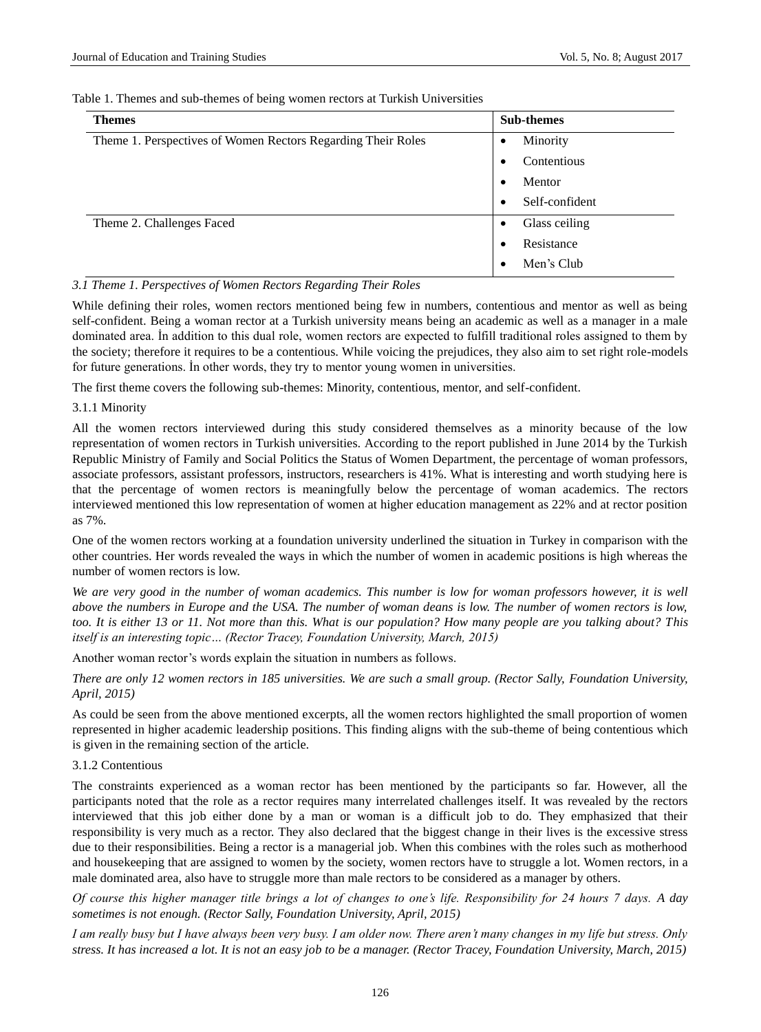| Table 1. Themes and sub-themes of being women rectors at Turkish Universities |
|-------------------------------------------------------------------------------|
|-------------------------------------------------------------------------------|

| <b>Themes</b>                                                | <b>Sub-themes</b>     |  |
|--------------------------------------------------------------|-----------------------|--|
| Theme 1. Perspectives of Women Rectors Regarding Their Roles | Minority<br>$\bullet$ |  |
|                                                              | Contentious           |  |
|                                                              | Mentor<br>٠           |  |
|                                                              | Self-confident<br>٠   |  |
| Theme 2. Challenges Faced                                    | Glass ceiling<br>٠    |  |
|                                                              | Resistance<br>٠       |  |
|                                                              | Men's Club            |  |

#### *3.1 Theme 1. Perspectives of Women Rectors Regarding Their Roles*

While defining their roles, women rectors mentioned being few in numbers, contentious and mentor as well as being self-confident. Being a woman rector at a Turkish university means being an academic as well as a manager in a male dominated area. İn addition to this dual role, women rectors are expected to fulfill traditional roles assigned to them by the society; therefore it requires to be a contentious. While voicing the prejudices, they also aim to set right role-models for future generations. İn other words, they try to mentor young women in universities.

The first theme covers the following sub-themes: Minority, contentious, mentor, and self-confident.

#### 3.1.1 Minority

All the women rectors interviewed during this study considered themselves as a minority because of the low representation of women rectors in Turkish universities. According to the report published in June 2014 by the Turkish Republic Ministry of Family and Social Politics the Status of Women Department, the percentage of woman professors, associate professors, assistant professors, instructors, researchers is 41%. What is interesting and worth studying here is that the percentage of women rectors is meaningfully below the percentage of woman academics. The rectors interviewed mentioned this low representation of women at higher education management as 22% and at rector position as 7%.

One of the women rectors working at a foundation university underlined the situation in Turkey in comparison with the other countries. Her words revealed the ways in which the number of women in academic positions is high whereas the number of women rectors is low.

We are very good in the number of woman academics. This number is low for woman professors however, it is well *above the numbers in Europe and the USA. The number of woman deans is low. The number of women rectors is low, too. It is either 13 or 11. Not more than this. What is our population? How many people are you talking about? This itself is an interesting topic… (Rector Tracey, Foundation University, March, 2015)*

Another woman rector's words explain the situation in numbers as follows.

*There are only 12 women rectors in 185 universities. We are such a small group. (Rector Sally, Foundation University, April, 2015)*

As could be seen from the above mentioned excerpts, all the women rectors highlighted the small proportion of women represented in higher academic leadership positions. This finding aligns with the sub-theme of being contentious which is given in the remaining section of the article.

#### 3.1.2 Contentious

The constraints experienced as a woman rector has been mentioned by the participants so far. However, all the participants noted that the role as a rector requires many interrelated challenges itself. It was revealed by the rectors interviewed that this job either done by a man or woman is a difficult job to do. They emphasized that their responsibility is very much as a rector. They also declared that the biggest change in their lives is the excessive stress due to their responsibilities. Being a rector is a managerial job. When this combines with the roles such as motherhood and housekeeping that are assigned to women by the society, women rectors have to struggle a lot. Women rectors, in a male dominated area, also have to struggle more than male rectors to be considered as a manager by others.

*Of course this higher manager title brings a lot of changes to one's life. Responsibility for 24 hours 7 days. A day sometimes is not enough. (Rector Sally, Foundation University, April, 2015)*

*I am really busy but I have always been very busy. I am older now. There aren't many changes in my life but stress. Only stress. It has increased a lot. It is not an easy job to be a manager. (Rector Tracey, Foundation University, March, 2015)*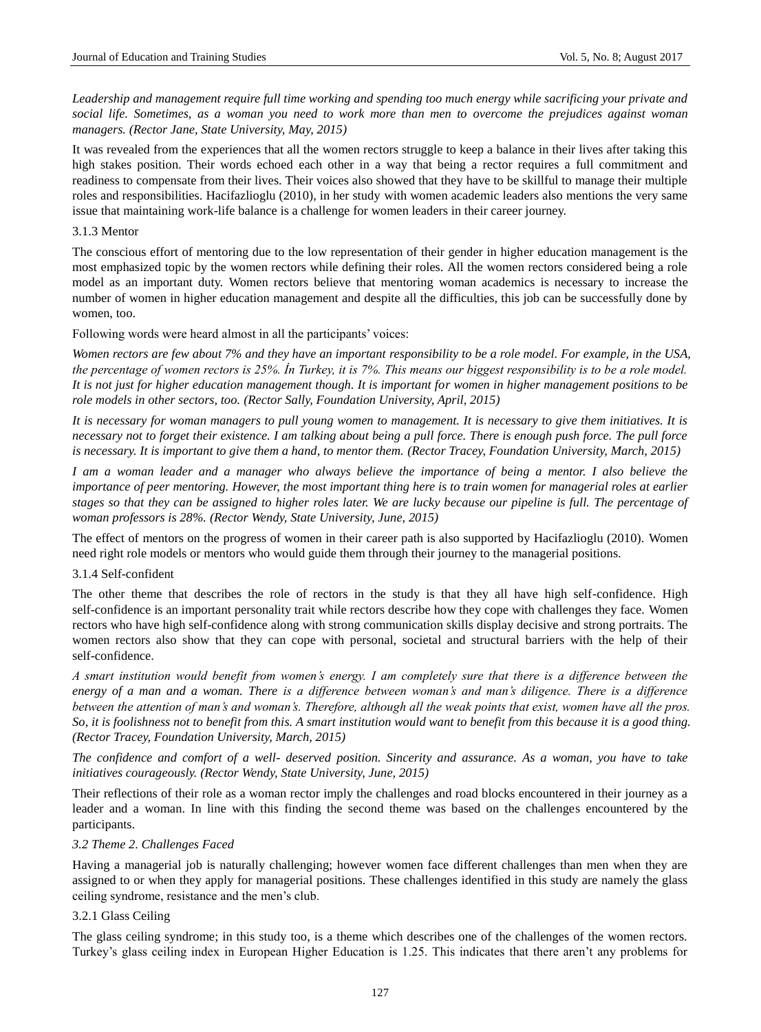*Leadership and management require full time working and spending too much energy while sacrificing your private and social life. Sometimes, as a woman you need to work more than men to overcome the prejudices against woman managers. (Rector Jane, State University, May, 2015)* 

It was revealed from the experiences that all the women rectors struggle to keep a balance in their lives after taking this high stakes position. Their words echoed each other in a way that being a rector requires a full commitment and readiness to compensate from their lives. Their voices also showed that they have to be skillful to manage their multiple roles and responsibilities. Hacifazlioglu (2010), in her study with women academic leaders also mentions the very same issue that maintaining work-life balance is a challenge for women leaders in their career journey.

3.1.3 Mentor

The conscious effort of mentoring due to the low representation of their gender in higher education management is the most emphasized topic by the women rectors while defining their roles. All the women rectors considered being a role model as an important duty. Women rectors believe that mentoring woman academics is necessary to increase the number of women in higher education management and despite all the difficulties, this job can be successfully done by women, too.

Following words were heard almost in all the participants' voices:

*Women rectors are few about 7% and they have an important responsibility to be a role model. For example, in the USA, the percentage of women rectors is 25%. İn Turkey, it is 7%. This means our biggest responsibility is to be a role model. It is not just for higher education management though. It is important for women in higher management positions to be role models in other sectors, too. (Rector Sally, Foundation University, April, 2015)*

*It is necessary for woman managers to pull young women to management. It is necessary to give them initiatives. It is necessary not to forget their existence. I am talking about being a pull force. There is enough push force. The pull force is necessary. It is important to give them a hand, to mentor them. (Rector Tracey, Foundation University, March, 2015)*

*I am a woman leader and a manager who always believe the importance of being a mentor. I also believe the importance of peer mentoring. However, the most important thing here is to train women for managerial roles at earlier stages so that they can be assigned to higher roles later. We are lucky because our pipeline is full. The percentage of woman professors is 28%. (Rector Wendy, State University, June, 2015)*

The effect of mentors on the progress of women in their career path is also supported by Hacifazlioglu (2010). Women need right role models or mentors who would guide them through their journey to the managerial positions.

#### 3.1.4 Self-confident

The other theme that describes the role of rectors in the study is that they all have high self-confidence. High self-confidence is an important personality trait while rectors describe how they cope with challenges they face. Women rectors who have high self-confidence along with strong communication skills display decisive and strong portraits. The women rectors also show that they can cope with personal, societal and structural barriers with the help of their self-confidence.

*A smart institution would benefit from women's energy. I am completely sure that there is a difference between the energy of a man and a woman. There is a difference between woman's and man's diligence. There is a difference between the attention of man's and woman's. Therefore, although all the weak points that exist, women have all the pros. So, it is foolishness not to benefit from this. A smart institution would want to benefit from this because it is a good thing. (Rector Tracey, Foundation University, March, 2015)*

*The confidence and comfort of a well- deserved position. Sincerity and assurance. As a woman, you have to take initiatives courageously. (Rector Wendy, State University, June, 2015)*

Their reflections of their role as a woman rector imply the challenges and road blocks encountered in their journey as a leader and a woman. In line with this finding the second theme was based on the challenges encountered by the participants.

#### *3.2 Theme 2. Challenges Faced*

Having a managerial job is naturally challenging; however women face different challenges than men when they are assigned to or when they apply for managerial positions. These challenges identified in this study are namely the glass ceiling syndrome, resistance and the men's club.

## 3.2.1 Glass Ceiling

The glass ceiling syndrome; in this study too, is a theme which describes one of the challenges of the women rectors. Turkey's glass ceiling index in European Higher Education is 1.25. This indicates that there aren't any problems for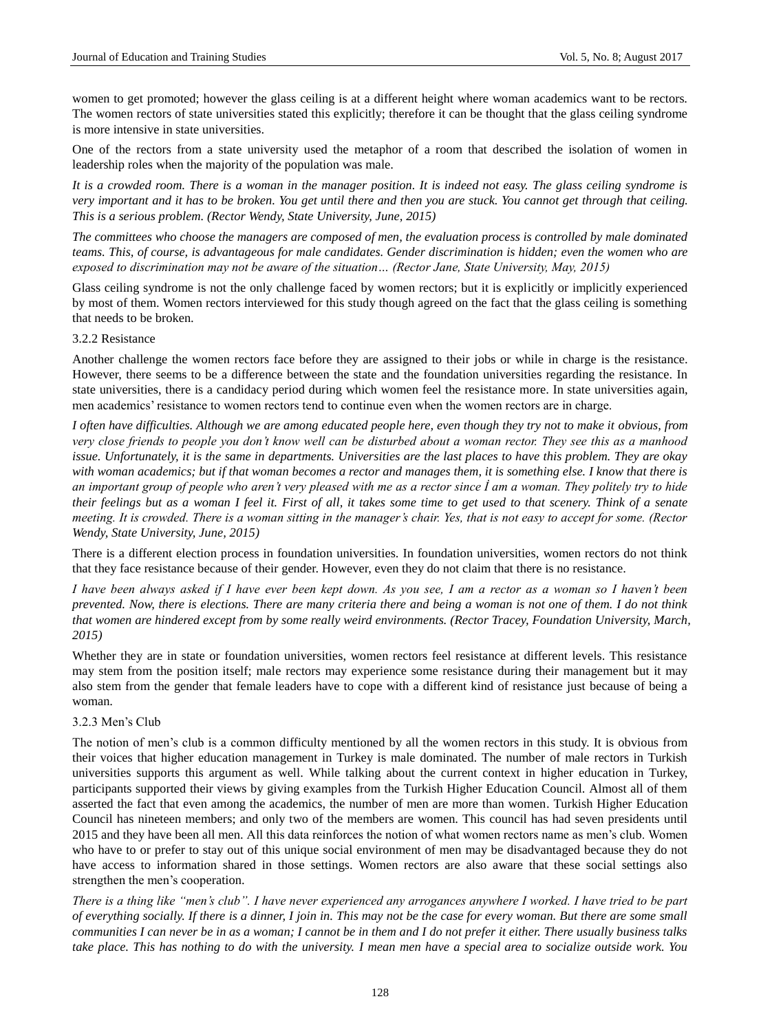women to get promoted; however the glass ceiling is at a different height where woman academics want to be rectors. The women rectors of state universities stated this explicitly; therefore it can be thought that the glass ceiling syndrome is more intensive in state universities.

One of the rectors from a state university used the metaphor of a room that described the isolation of women in leadership roles when the majority of the population was male.

*It is a crowded room. There is a woman in the manager position. It is indeed not easy. The glass ceiling syndrome is very important and it has to be broken. You get until there and then you are stuck. You cannot get through that ceiling. This is a serious problem. (Rector Wendy, State University, June, 2015)*

*The committees who choose the managers are composed of men, the evaluation process is controlled by male dominated teams. This, of course, is advantageous for male candidates. Gender discrimination is hidden; even the women who are exposed to discrimination may not be aware of the situation… (Rector Jane, State University, May, 2015)*

Glass ceiling syndrome is not the only challenge faced by women rectors; but it is explicitly or implicitly experienced by most of them. Women rectors interviewed for this study though agreed on the fact that the glass ceiling is something that needs to be broken.

#### 3.2.2 Resistance

Another challenge the women rectors face before they are assigned to their jobs or while in charge is the resistance. However, there seems to be a difference between the state and the foundation universities regarding the resistance. In state universities, there is a candidacy period during which women feel the resistance more. In state universities again, men academics' resistance to women rectors tend to continue even when the women rectors are in charge.

*I often have difficulties. Although we are among educated people here, even though they try not to make it obvious, from very close friends to people you don't know well can be disturbed about a woman rector. They see this as a manhood issue. Unfortunately, it is the same in departments. Universities are the last places to have this problem. They are okay with woman academics; but if that woman becomes a rector and manages them, it is something else. I know that there is an important group of people who aren't very pleased with me as a rector since İ am a woman. They politely try to hide their feelings but as a woman I feel it. First of all, it takes some time to get used to that scenery. Think of a senate meeting. It is crowded. There is a woman sitting in the manager's chair. Yes, that is not easy to accept for some. (Rector Wendy, State University, June, 2015)*

There is a different election process in foundation universities. In foundation universities, women rectors do not think that they face resistance because of their gender. However, even they do not claim that there is no resistance.

*I have been always asked if I have ever been kept down. As you see, I am a rector as a woman so I haven't been prevented. Now, there is elections. There are many criteria there and being a woman is not one of them. I do not think that women are hindered except from by some really weird environments. (Rector Tracey, Foundation University, March, 2015)*

Whether they are in state or foundation universities, women rectors feel resistance at different levels. This resistance may stem from the position itself; male rectors may experience some resistance during their management but it may also stem from the gender that female leaders have to cope with a different kind of resistance just because of being a woman.

#### 3.2.3 Men's Club

The notion of men's club is a common difficulty mentioned by all the women rectors in this study. It is obvious from their voices that higher education management in Turkey is male dominated. The number of male rectors in Turkish universities supports this argument as well. While talking about the current context in higher education in Turkey, participants supported their views by giving examples from the Turkish Higher Education Council. Almost all of them asserted the fact that even among the academics, the number of men are more than women. Turkish Higher Education Council has nineteen members; and only two of the members are women. This council has had seven presidents until 2015 and they have been all men. All this data reinforces the notion of what women rectors name as men's club. Women who have to or prefer to stay out of this unique social environment of men may be disadvantaged because they do not have access to information shared in those settings. Women rectors are also aware that these social settings also strengthen the men's cooperation.

*There is a thing like "men's club". I have never experienced any arrogances anywhere I worked. I have tried to be part of everything socially. If there is a dinner, I join in. This may not be the case for every woman. But there are some small communities I can never be in as a woman; I cannot be in them and I do not prefer it either. There usually business talks take place. This has nothing to do with the university. I mean men have a special area to socialize outside work. You*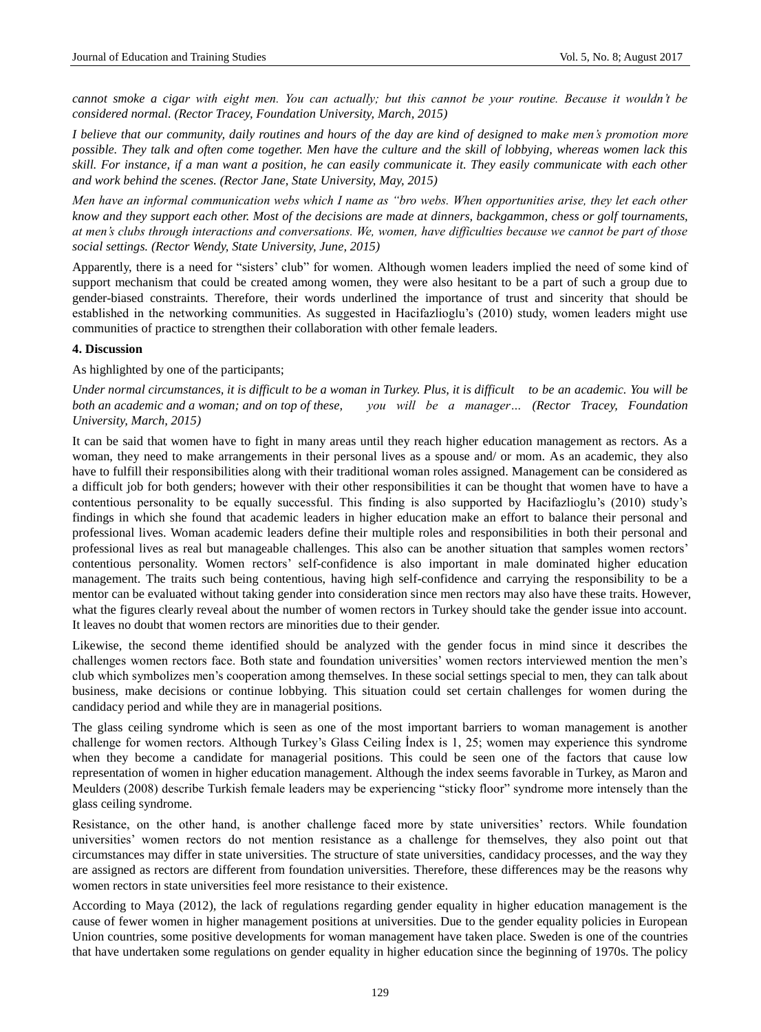*cannot smoke a cigar with eight men. You can actually; but this cannot be your routine. Because it wouldn't be considered normal. (Rector Tracey, Foundation University, March, 2015)*

*I believe that our community, daily routines and hours of the day are kind of designed to make men's promotion more possible. They talk and often come together. Men have the culture and the skill of lobbying, whereas women lack this skill. For instance, if a man want a position, he can easily communicate it. They easily communicate with each other and work behind the scenes. (Rector Jane, State University, May, 2015)*

*Men have an informal communication webs which I name as "bro webs. When opportunities arise, they let each other know and they support each other. Most of the decisions are made at dinners, backgammon, chess or golf tournaments, at men's clubs through interactions and conversations. We, women, have difficulties because we cannot be part of those social settings. (Rector Wendy, State University, June, 2015)*

Apparently, there is a need for "sisters' club" for women. Although women leaders implied the need of some kind of support mechanism that could be created among women, they were also hesitant to be a part of such a group due to gender-biased constraints. Therefore, their words underlined the importance of trust and sincerity that should be established in the networking communities. As suggested in Hacifazlioglu's (2010) study, women leaders might use communities of practice to strengthen their collaboration with other female leaders.

#### **4. Discussion**

As highlighted by one of the participants;

*Under normal circumstances, it is difficult to be a woman in Turkey. Plus, it is difficult to be an academic. You will be both an academic and a woman; and on top of these, you will be a manager… (Rector Tracey, Foundation University, March, 2015)*

It can be said that women have to fight in many areas until they reach higher education management as rectors. As a woman, they need to make arrangements in their personal lives as a spouse and/ or mom. As an academic, they also have to fulfill their responsibilities along with their traditional woman roles assigned. Management can be considered as a difficult job for both genders; however with their other responsibilities it can be thought that women have to have a contentious personality to be equally successful. This finding is also supported by Hacifazlioglu's (2010) study's findings in which she found that academic leaders in higher education make an effort to balance their personal and professional lives. Woman academic leaders define their multiple roles and responsibilities in both their personal and professional lives as real but manageable challenges. This also can be another situation that samples women rectors' contentious personality. Women rectors' self-confidence is also important in male dominated higher education management. The traits such being contentious, having high self-confidence and carrying the responsibility to be a mentor can be evaluated without taking gender into consideration since men rectors may also have these traits. However, what the figures clearly reveal about the number of women rectors in Turkey should take the gender issue into account. It leaves no doubt that women rectors are minorities due to their gender.

Likewise, the second theme identified should be analyzed with the gender focus in mind since it describes the challenges women rectors face. Both state and foundation universities' women rectors interviewed mention the men's club which symbolizes men's cooperation among themselves. In these social settings special to men, they can talk about business, make decisions or continue lobbying. This situation could set certain challenges for women during the candidacy period and while they are in managerial positions.

The glass ceiling syndrome which is seen as one of the most important barriers to woman management is another challenge for women rectors. Although Turkey's Glass Ceiling İndex is 1, 25; women may experience this syndrome when they become a candidate for managerial positions. This could be seen one of the factors that cause low representation of women in higher education management. Although the index seems favorable in Turkey, as Maron and Meulders (2008) describe Turkish female leaders may be experiencing "sticky floor" syndrome more intensely than the glass ceiling syndrome.

Resistance, on the other hand, is another challenge faced more by state universities' rectors. While foundation universities' women rectors do not mention resistance as a challenge for themselves, they also point out that circumstances may differ in state universities. The structure of state universities, candidacy processes, and the way they are assigned as rectors are different from foundation universities. Therefore, these differences may be the reasons why women rectors in state universities feel more resistance to their existence.

According to Maya (2012), the lack of regulations regarding gender equality in higher education management is the cause of fewer women in higher management positions at universities. Due to the gender equality policies in European Union countries, some positive developments for woman management have taken place. Sweden is one of the countries that have undertaken some regulations on gender equality in higher education since the beginning of 1970s. The policy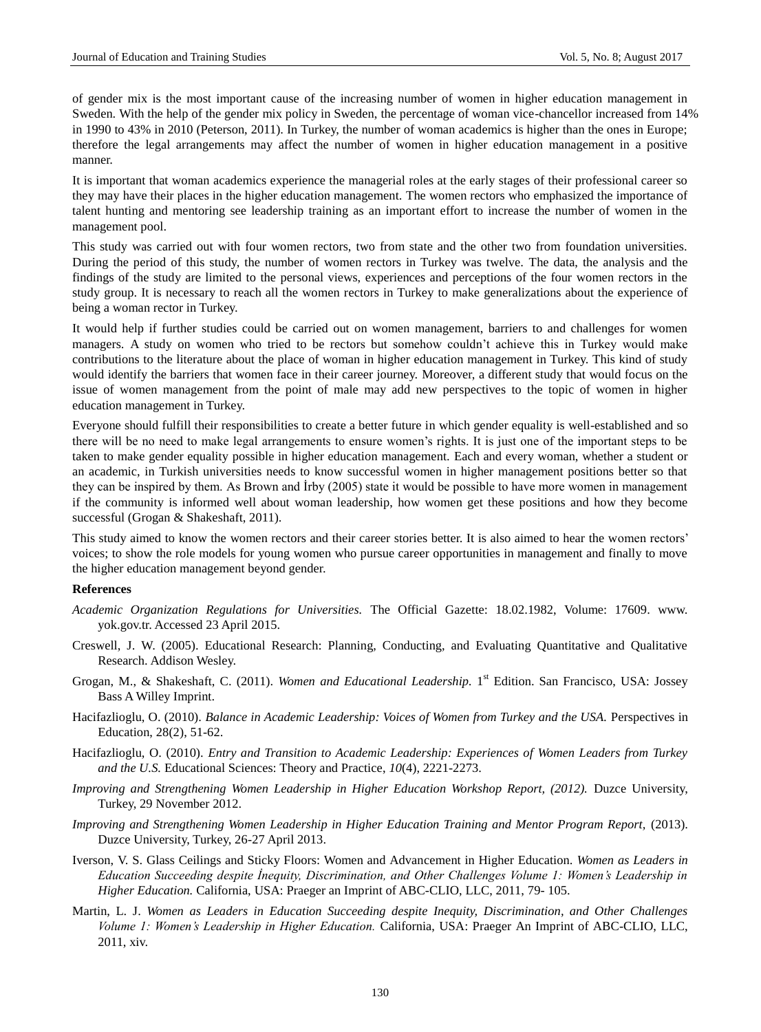of gender mix is the most important cause of the increasing number of women in higher education management in Sweden. With the help of the gender mix policy in Sweden, the percentage of woman vice-chancellor increased from 14% in 1990 to 43% in 2010 (Peterson, 2011). In Turkey, the number of woman academics is higher than the ones in Europe; therefore the legal arrangements may affect the number of women in higher education management in a positive manner.

It is important that woman academics experience the managerial roles at the early stages of their professional career so they may have their places in the higher education management. The women rectors who emphasized the importance of talent hunting and mentoring see leadership training as an important effort to increase the number of women in the management pool.

This study was carried out with four women rectors, two from state and the other two from foundation universities. During the period of this study, the number of women rectors in Turkey was twelve. The data, the analysis and the findings of the study are limited to the personal views, experiences and perceptions of the four women rectors in the study group. It is necessary to reach all the women rectors in Turkey to make generalizations about the experience of being a woman rector in Turkey.

It would help if further studies could be carried out on women management, barriers to and challenges for women managers. A study on women who tried to be rectors but somehow couldn't achieve this in Turkey would make contributions to the literature about the place of woman in higher education management in Turkey. This kind of study would identify the barriers that women face in their career journey. Moreover, a different study that would focus on the issue of women management from the point of male may add new perspectives to the topic of women in higher education management in Turkey.

Everyone should fulfill their responsibilities to create a better future in which gender equality is well-established and so there will be no need to make legal arrangements to ensure women's rights. It is just one of the important steps to be taken to make gender equality possible in higher education management. Each and every woman, whether a student or an academic, in Turkish universities needs to know successful women in higher management positions better so that they can be inspired by them. As Brown and İrby (2005) state it would be possible to have more women in management if the community is informed well about woman leadership, how women get these positions and how they become successful (Grogan & Shakeshaft, 2011).

This study aimed to know the women rectors and their career stories better. It is also aimed to hear the women rectors' voices; to show the role models for young women who pursue career opportunities in management and finally to move the higher education management beyond gender.

# **References**

- *Academic Organization Regulations for Universities.* The Official Gazette: 18.02.1982, Volume: 17609. www. yok.gov.tr. Accessed 23 April 2015.
- Creswell, J. W. (2005). Educational Research: Planning, Conducting, and Evaluating Quantitative and Qualitative Research. Addison Wesley.
- Grogan, M., & Shakeshaft, C. (2011). Women and Educational Leadership. 1<sup>st</sup> Edition. San Francisco, USA: Jossey Bass A Willey Imprint.
- Hacifazlioglu, O. (2010). *Balance in Academic Leadership: Voices of Women from Turkey and the USA.* Perspectives in Education, 28(2), 51-62.
- Hacifazlioglu, O. (2010). *Entry and Transition to Academic Leadership: Experiences of Women Leaders from Turkey and the U.S.* Educational Sciences: Theory and Practice, *10*(4), 2221-2273.
- *Improving and Strengthening Women Leadership in Higher Education Workshop Report, (2012).* Duzce University, Turkey, 29 November 2012.
- *Improving and Strengthening Women Leadership in Higher Education Training and Mentor Program Report,* (2013). Duzce University, Turkey, 26-27 April 2013.
- Iverson, V. S. Glass Ceilings and Sticky Floors: Women and Advancement in Higher Education. *Women as Leaders in Education Succeeding despite İnequity, Discrimination, and Other Challenges Volume 1: Women's Leadership in Higher Education.* California, USA: Praeger an Imprint of ABC-CLIO, LLC, 2011, 79- 105.
- Martin, L. J. *Women as Leaders in Education Succeeding despite Inequity, Discrimination, and Other Challenges Volume 1: Women's Leadership in Higher Education.* California, USA: Praeger An Imprint of ABC-CLIO, LLC, 2011, xiv.